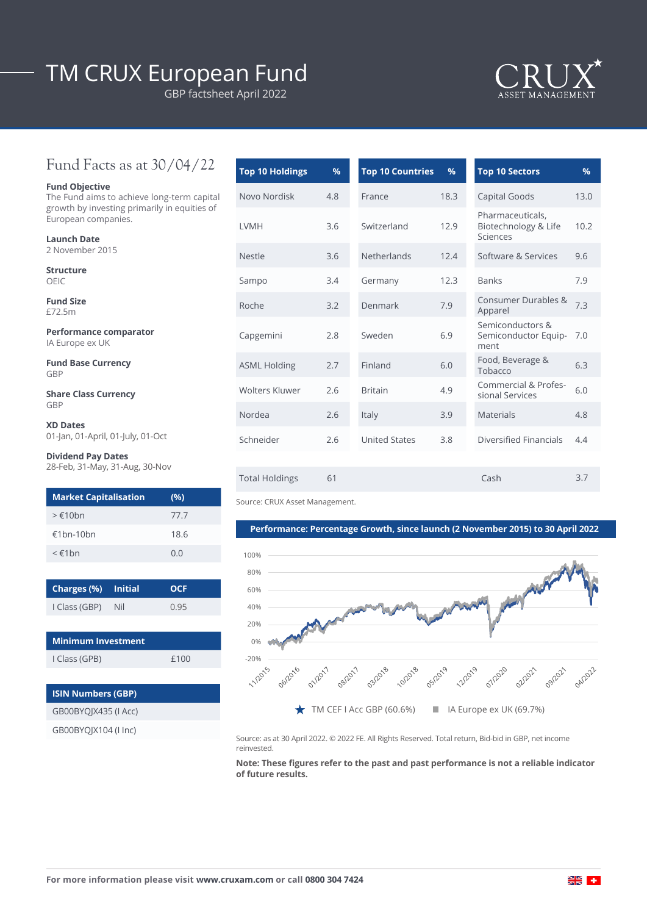# TM CRUX European Fund

GBP factsheet April 2022



## Fund Facts as at 30/04/22

#### **Fund Objective**

The Fund aims to achieve long-term capital growth by investing primarily in equities of European companies.

| Launch Date |                 |  |  |  |  |
|-------------|-----------------|--|--|--|--|
|             | 2 November 2015 |  |  |  |  |
|             |                 |  |  |  |  |

**Structure** OEIC

**Fund Size** £72.5m

**Performance comparator** IA Europe ex UK

**Fund Base Currency** GBP

**Share Class Currency** GBP

**XD Dates** 01-Jan, 01-April, 01-July, 01-Oct

### **Dividend Pay Dates**

28-Feb, 31-May, 31-Aug, 30-Nov

| <b>Market Capitalisation</b> | (%)  |
|------------------------------|------|
| $>\epsilon$ 10hn             | 77.7 |
| €1bn-10bn                    | 18.6 |
| $\leq \epsilon$ 1 $hn$       | 0.0  |

| Charges (%) Initial |     | <b>OCF</b> |
|---------------------|-----|------------|
| I Class (GBP)       | Nil | 0.95       |
|                     |     |            |

| <b>Minimum Investment</b> |      |  |  |  |
|---------------------------|------|--|--|--|
| I Class (GPB)             | f100 |  |  |  |
|                           |      |  |  |  |

| <b>ISIN Numbers (GBP)</b> |  |  |  |  |
|---------------------------|--|--|--|--|
| GB00BYOJX435 (I Acc)      |  |  |  |  |
| GB00BYOIX104 (I Inc)      |  |  |  |  |

| <b>Top 10 Holdings</b> | $\frac{9}{6}$ | <b>Top 10 Countries</b> | %    | <b>Top 10 Sectors</b>                                |
|------------------------|---------------|-------------------------|------|------------------------------------------------------|
| Novo Nordisk           | 4.8           | France                  | 18.3 | Capital Goods                                        |
| <b>LVMH</b>            | 3.6           | Switzerland             | 12.9 | Pharmaceuticals,<br>Biotechnology & Life<br>Sciences |
| <b>Nestle</b>          | 3.6           | Netherlands             | 12.4 | Software & Services                                  |
| Sampo                  | 3.4           | Germany                 | 12.3 | <b>Banks</b>                                         |
| Roche                  | 3.2           | Denmark                 | 7.9  | Consumer Durables &<br>Apparel                       |
| Capgemini              | 2.8           | Sweden                  | 6.9  | Semiconductors &<br>Semiconductor Equip-<br>ment     |
| <b>ASML Holding</b>    | 2.7           | Finland                 | 6.0  | Food, Beverage &<br>Tobacco                          |
| Wolters Kluwer         | 2.6           | <b>Britain</b>          | 4.9  | Commercial & Profes-<br>sional Services              |
| Nordea                 | 2.6           | Italy                   | 3.9  | <b>Materials</b>                                     |
| Schneider              | 2.6           | <b>United States</b>    | 3.8  | Diversified Financials                               |
|                        |               |                         |      |                                                      |
| <b>Total Holdings</b>  | 61            |                         |      | Cash                                                 |

Source: CRUX Asset Management.

**Performance: Percentage Growth, since launch (2 November 2015) to 30 April 2022**



Source: as at 30 April 2022. © 2022 FE. All Rights Reserved. Total return, Bid-bid in GBP, net income reinvested.

**Note: These figures refer to the past and past performance is not a reliable indicator of future results.**